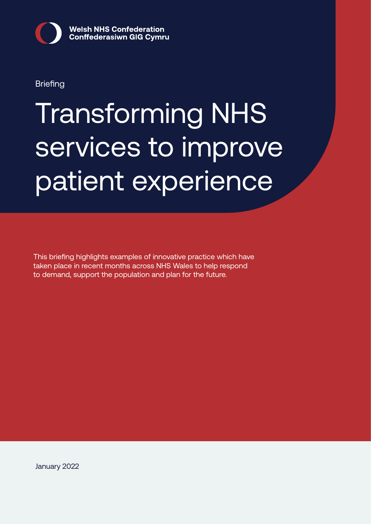

**Briefing** 

# Transforming NHS services to improve patient experience

This briefing highlights examples of innovative practice which have taken place in recent months across NHS Wales to help respond to demand, support the population and plan for the future.

January 2022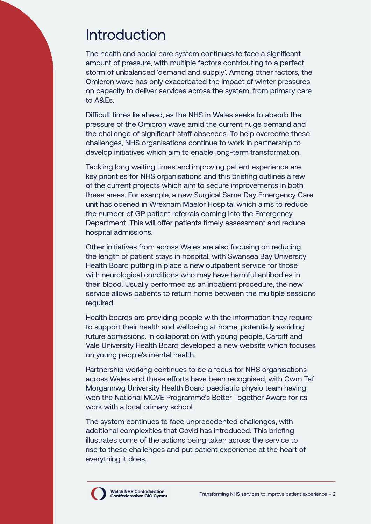## Introduction

The health and social care system continues to face a significant amount of pressure, with multiple factors contributing to a perfect storm of unbalanced 'demand and supply'. Among other factors, the Omicron wave has only exacerbated the impact of winter pressures on capacity to deliver services across the system, from primary care to A&Es.

Difficult times lie ahead, as the NHS in Wales seeks to absorb the pressure of the Omicron wave amid the current huge demand and the challenge of significant staff absences. To help overcome these challenges, NHS organisations continue to work in partnership to develop initiatives which aim to enable long-term transformation.

Tackling long waiting times and improving patient experience are key priorities for NHS organisations and this briefing outlines a few of the current projects which aim to secure improvements in both these areas. For example, a new Surgical Same Day Emergency Care unit has opened in Wrexham Maelor Hospital which aims to reduce the number of GP patient referrals coming into the Emergency Department. This will offer patients timely assessment and reduce hospital admissions.

Other initiatives from across Wales are also focusing on reducing the length of patient stays in hospital, with Swansea Bay University Health Board putting in place a new outpatient service for those with neurological conditions who may have harmful antibodies in their blood. Usually performed as an inpatient procedure, the new service allows patients to return home between the multiple sessions required.

Health boards are providing people with the information they require to support their health and wellbeing at home, potentially avoiding future admissions. In collaboration with young people, Cardiff and Vale University Health Board developed a new website which focuses on young people's mental health.

Partnership working continues to be a focus for NHS organisations across Wales and these efforts have been recognised, with Cwm Taf Morgannwg University Health Board paediatric physio team having won the National MOVE Programme's Better Together Award for its work with a local primary school.

The system continues to face unprecedented challenges, with additional complexities that Covid has introduced. This briefing illustrates some of the actions being taken across the service to rise to these challenges and put patient experience at the heart of everything it does.

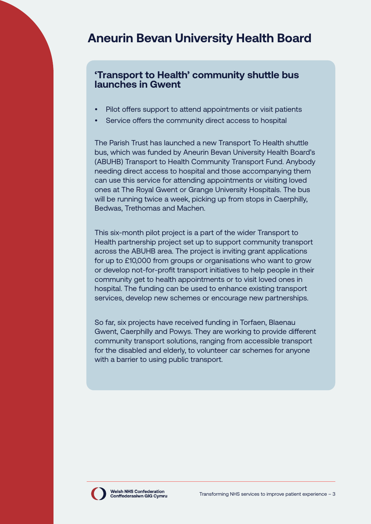## **Aneurin Bevan University Health Board**

#### **'Transport to Health' community shuttle bus launches in Gwent**

- Pilot offers support to attend appointments or visit patients
- Service offers the community direct access to hospital

The Parish Trust has launched a new Transport To Health shuttle bus, which was funded by Aneurin Bevan University Health Board's (ABUHB) Transport to Health Community Transport Fund. Anybody needing direct access to hospital and those accompanying them can use this service for attending appointments or visiting loved ones at The Royal Gwent or Grange University Hospitals. The bus will be running twice a week, picking up from stops in Caerphilly, Bedwas, Trethomas and Machen.

This six-month pilot project is a part of the wider Transport to Health partnership project set up to support community transport across the ABUHB area. The project is inviting grant applications for up to £10,000 from groups or organisations who want to grow or develop not-for-profit transport initiatives to help people in their community get to health appointments or to visit loved ones in hospital. The funding can be used to enhance existing transport services, develop new schemes or encourage new partnerships.

So far, six projects have received funding in Torfaen, Blaenau Gwent, Caerphilly and Powys. They are working to provide different community transport solutions, ranging from accessible transport for the disabled and elderly, to volunteer car schemes for anyone with a barrier to using public transport.

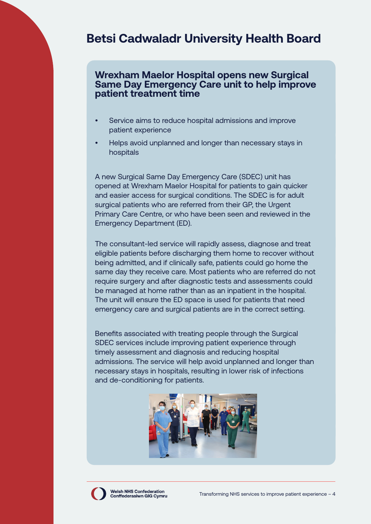## **Betsi Cadwaladr University Health Board**

#### **Wrexham Maelor Hospital opens new Surgical Same Day Emergency Care unit to help improve patient treatment time**

- Service aims to reduce hospital admissions and improve patient experience
- Helps avoid unplanned and longer than necessary stays in hospitals

A new Surgical Same Day Emergency Care (SDEC) unit has opened at Wrexham Maelor Hospital for patients to gain quicker and easier access for surgical conditions. The SDEC is for adult surgical patients who are referred from their GP, the Urgent Primary Care Centre, or who have been seen and reviewed in the Emergency Department (ED).

The consultant-led service will rapidly assess, diagnose and treat eligible patients before discharging them home to recover without being admitted, and if clinically safe, patients could go home the same day they receive care. Most patients who are referred do not require surgery and after diagnostic tests and assessments could be managed at home rather than as an inpatient in the hospital. The unit will ensure the ED space is used for patients that need emergency care and surgical patients are in the correct setting.

Benefits associated with treating people through the Surgical SDEC services include improving patient experience through timely assessment and diagnosis and reducing hospital admissions. The service will help avoid unplanned and longer than necessary stays in hospitals, resulting in lower risk of infections and de-conditioning for patients.



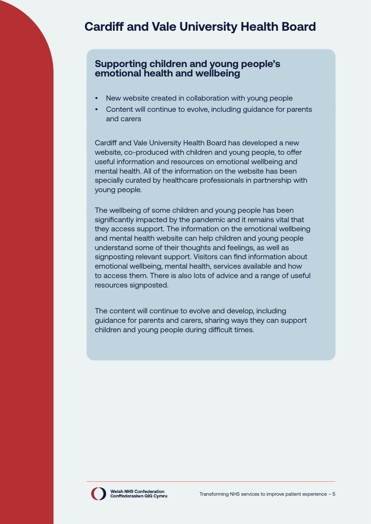## **Cardiff and Vale University Health Board**

#### **Supporting children and young people's emotional health and wellbeing**

- New website created in collaboration with young people
- Content will continue to evolve, including guidance for parents and carers

Cardiff and Vale University Health Board has developed a new website, co-produced with children and young people, to offer useful information and resources on emotional wellbeing and mental health. All of the information on the website has been specially curated by healthcare professionals in partnership with young people.

The wellbeing of some children and young people has been significantly impacted by the pandemic and it remains vital that they access support. The information on the emotional wellbeing and mental health website can help children and young people understand some of their thoughts and feelings, as well as signposting relevant support. Visitors can find information about emotional wellbeing, mental health, services available and how to access them. There is also lots of advice and a range of useful resources signposted.

The content will continue to evolve and develop, including guidance for parents and carers, sharing ways they can support children and young people during difficult times.

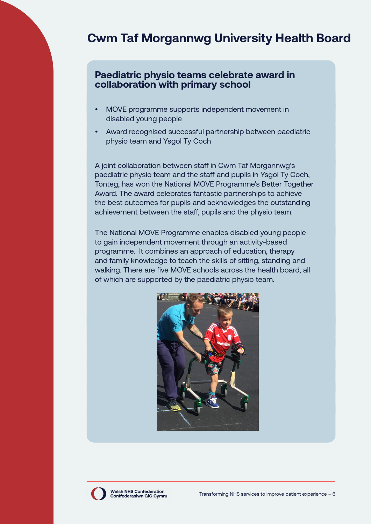## **Cwm Taf Morgannwg University Health Board**

#### **Paediatric physio teams celebrate award in collaboration with primary school**

- MOVE programme supports independent movement in disabled young people
- Award recognised successful partnership between paediatric physio team and Ysgol Ty Coch

A joint collaboration between staff in Cwm Taf Morgannwg's paediatric physio team and the staff and pupils in Ysgol Ty Coch, Tonteg, has won the National MOVE Programme's Better Together Award. The award celebrates fantastic partnerships to achieve the best outcomes for pupils and acknowledges the outstanding achievement between the staff, pupils and the physio team.

The National MOVE Programme enables disabled young people to gain independent movement through an activity-based programme. It combines an approach of education, therapy and family knowledge to teach the skills of sitting, standing and walking. There are five MOVE schools across the health board, all of which are supported by the paediatric physio team.



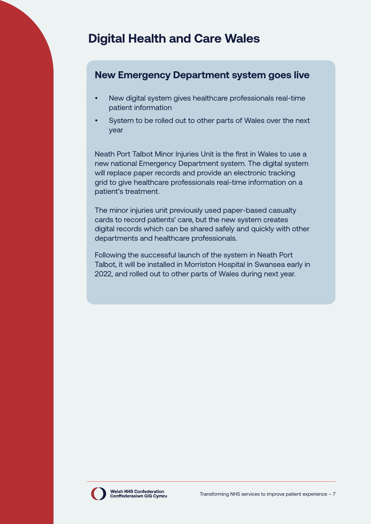## **Digital Health and Care Wales**

#### **New Emergency Department system goes live**

- New digital system gives healthcare professionals real-time patient information
- System to be rolled out to other parts of Wales over the next year

Neath Port Talbot Minor Injuries Unit is the first in Wales to use a new national Emergency Department system. The digital system will replace paper records and provide an electronic tracking grid to give healthcare professionals real-time information on a patient's treatment.

The minor injuries unit previously used paper-based casualty cards to record patients' care, but the new system creates digital records which can be shared safely and quickly with other departments and healthcare professionals.

Following the successful launch of the system in Neath Port Talbot, it will be installed in Morriston Hospital in Swansea early in 2022, and rolled out to other parts of Wales during next year.

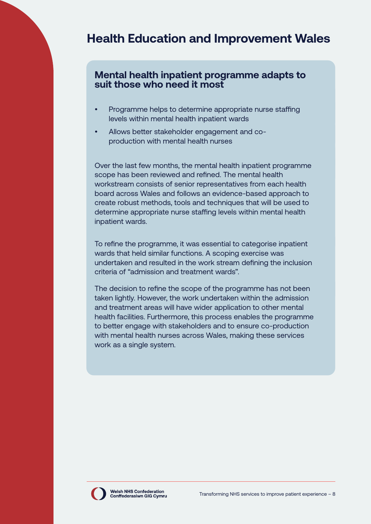## **Health Education and Improvement Wales**

#### **Mental health inpatient programme adapts to suit those who need it most**

- Programme helps to determine appropriate nurse staffing levels within mental health inpatient wards
- Allows better stakeholder engagement and coproduction with mental health nurses

Over the last few months, the mental health inpatient programme scope has been reviewed and refined. The mental health workstream consists of senior representatives from each health board across Wales and follows an evidence-based approach to create robust methods, tools and techniques that will be used to determine appropriate nurse staffing levels within mental health inpatient wards.

To refine the programme, it was essential to categorise inpatient wards that held similar functions. A scoping exercise was undertaken and resulted in the work stream defining the inclusion criteria of "admission and treatment wards".

The decision to refine the scope of the programme has not been taken lightly. However, the work undertaken within the admission and treatment areas will have wider application to other mental health facilities. Furthermore, this process enables the programme to better engage with stakeholders and to ensure co-production with mental health nurses across Wales, making these services work as a single system.

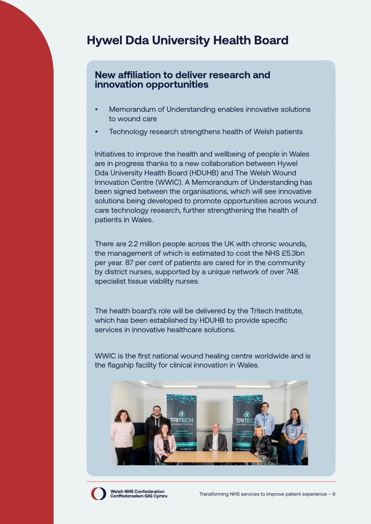## **Hywel Dda University Health Board**

#### **New affiliation to deliver research and innovation opportunities**

- Memorandum of Understanding enables innovative solutions to wound care
- Technology research strengthens health of Welsh patients

Initiatives to improve the health and wellbeing of people in Wales are in progress thanks to a new collaboration between Hywel Dda University Health Board (HDUHB) and The Welsh Wound Innovation Centre (WWIC). A Memorandum of Understanding has been signed between the organisations, which will see innovative solutions being developed to promote opportunities across wound care technology research, further strengthening the health of patients in Wales.

There are 2.2 million people across the UK with chronic wounds, the management of which is estimated to cost the NHS £5.3bn per year. 87 per cent of patients are cared for in the community by district nurses, supported by a unique network of over 748 specialist tissue viability nurses.

The health board's role will be delivered by the Tritech Institute, which has been established by HDUHB to provide specific services in innovative healthcare solutions.

WWIC is the first national wound healing centre worldwide and is the flagship facility for clinical innovation in Wales.



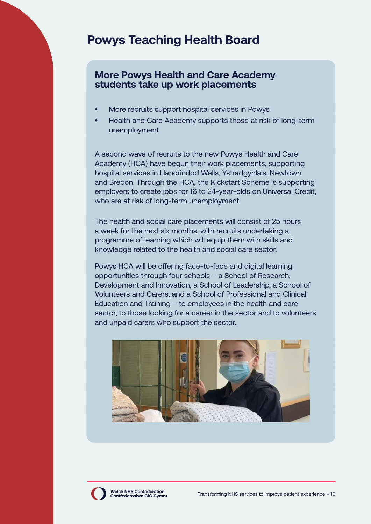## **Powys Teaching Health Board**

#### **More Powys Health and Care Academy students take up work placements**

- More recruits support hospital services in Powys
- Health and Care Academy supports those at risk of long-term unemployment

A second wave of recruits to the new Powys Health and Care Academy (HCA) have begun their work placements, supporting hospital services in Llandrindod Wells, Ystradgynlais, Newtown and Brecon. Through the HCA, the Kickstart Scheme is supporting employers to create jobs for 16 to 24-year-olds on Universal Credit, who are at risk of long-term unemployment.

The health and social care placements will consist of 25 hours a week for the next six months, with recruits undertaking a programme of learning which will equip them with skills and knowledge related to the health and social care sector.

Powys HCA will be offering face-to-face and digital learning opportunities through four schools – a School of Research, Development and Innovation, a School of Leadership, a School of Volunteers and Carers, and a School of Professional and Clinical Education and Training – to employees in the health and care sector, to those looking for a career in the sector and to volunteers and unpaid carers who support the sector.



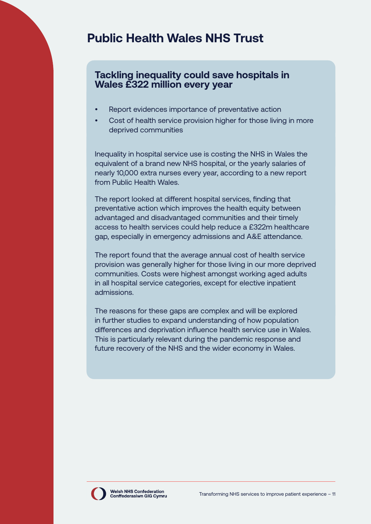## **Public Health Wales NHS Trust**

#### **Tackling inequality could save hospitals in Wales £322 million every year**

- Report evidences importance of preventative action
- Cost of health service provision higher for those living in more deprived communities

Inequality in hospital service use is costing the NHS in Wales the equivalent of a brand new NHS hospital, or the yearly salaries of nearly 10,000 extra nurses every year, according to a new report from Public Health Wales.

The report looked at different hospital services, finding that preventative action which improves the health equity between advantaged and disadvantaged communities and their timely access to health services could help reduce a £322m healthcare gap, especially in emergency admissions and A&E attendance.

The report found that the average annual cost of health service provision was generally higher for those living in our more deprived communities. Costs were highest amongst working aged adults in all hospital service categories, except for elective inpatient admissions.

The reasons for these gaps are complex and will be explored in further studies to expand understanding of how population differences and deprivation influence health service use in Wales. This is particularly relevant during the pandemic response and future recovery of the NHS and the wider economy in Wales.

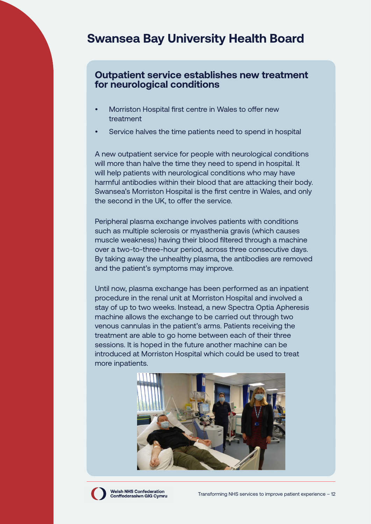## **Swansea Bay University Health Board**

#### **Outpatient service establishes new treatment for neurological conditions**

- Morriston Hospital first centre in Wales to offer new treatment
- Service halves the time patients need to spend in hospital

A new outpatient service for people with neurological conditions will more than halve the time they need to spend in hospital. It will help patients with neurological conditions who may have harmful antibodies within their blood that are attacking their body. Swansea's Morriston Hospital is the first centre in Wales, and only the second in the UK, to offer the service.

Peripheral plasma exchange involves patients with conditions such as multiple sclerosis or myasthenia gravis (which causes muscle weakness) having their blood filtered through a machine over a two-to-three-hour period, across three consecutive days. By taking away the unhealthy plasma, the antibodies are removed and the patient's symptoms may improve.

Until now, plasma exchange has been performed as an inpatient procedure in the renal unit at Morriston Hospital and involved a stay of up to two weeks. Instead, a new Spectra Optia Apheresis machine allows the exchange to be carried out through two venous cannulas in the patient's arms. Patients receiving the treatment are able to go home between each of their three sessions. It is hoped in the future another machine can be introduced at Morriston Hospital which could be used to treat more inpatients.



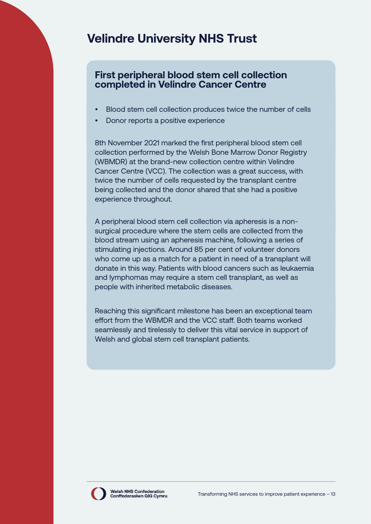## **Velindre University NHS Trust**

#### **First peripheral blood stem cell collection completed in Velindre Cancer Centre**

- Blood stem cell collection produces twice the number of cells
- Donor reports a positive experience

8th November 2021 marked the first peripheral blood stem cell collection performed by the Welsh Bone Marrow Donor Registry (WBMDR) at the brand-new collection centre within Velindre Cancer Centre (VCC). The collection was a great success, with twice the number of cells requested by the transplant centre being collected and the donor shared that she had a positive experience throughout.

A peripheral blood stem cell collection via apheresis is a nonsurgical procedure where the stem cells are collected from the blood stream using an apheresis machine, following a series of stimulating injections. Around 85 per cent of volunteer donors who come up as a match for a patient in need of a transplant will donate in this way. Patients with blood cancers such as leukaemia and lymphomas may require a stem cell transplant, as well as people with inherited metabolic diseases.

Reaching this significant milestone has been an exceptional team effort from the WBMDR and the VCC staff. Both teams worked seamlessly and tirelessly to deliver this vital service in support of Welsh and global stem cell transplant patients.

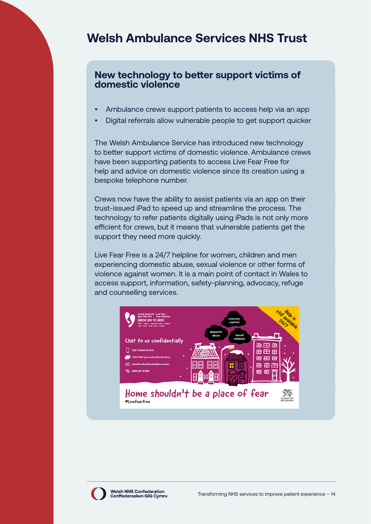## **Welsh Ambulance Services NHS Trust**

#### **New technology to better support victims of domestic violence**

- Ambulance crews support patients to access help via an app
- Digital referrals allow vulnerable people to get support quicker

The Welsh Ambulance Service has introduced new technology to better support victims of domestic violence. Ambulance crews have been supporting patients to access Live Fear Free for help and advice on domestic violence since its creation using a bespoke telephone number.

Crews now have the ability to assist patients via an app on their trust-issued iPad to speed up and streamline the process. The technology to refer patients digitally using iPads is not only more efficient for crews, but it means that vulnerable patients get the support they need more quickly.

Live Fear Free is a 24/7 helpline for women, children and men experiencing domestic abuse, sexual violence or other forms of violence against women. It is a main point of contact in Wales to access support, information, safety-planning, advocacy, refuge and counselling services.